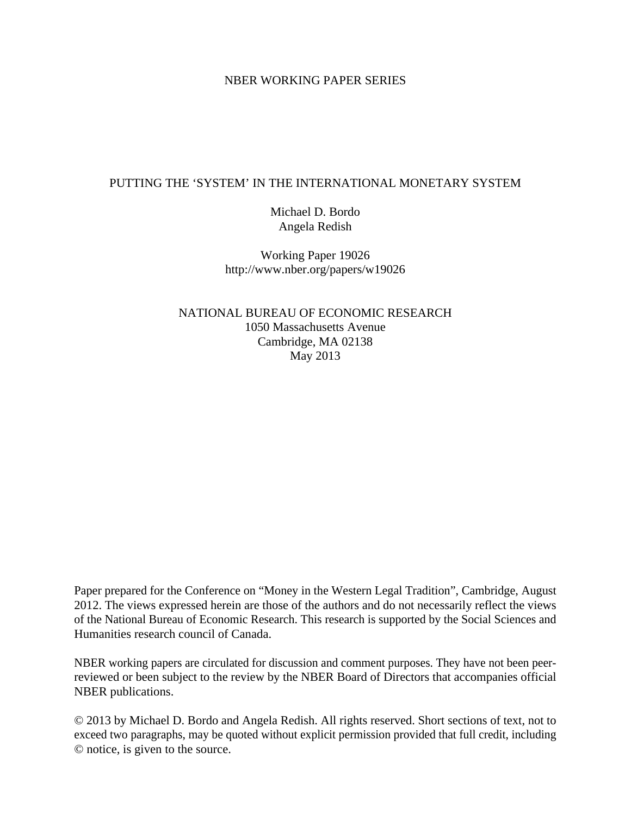# NBER WORKING PAPER SERIES

# PUTTING THE 'SYSTEM' IN THE INTERNATIONAL MONETARY SYSTEM

Michael D. Bordo Angela Redish

Working Paper 19026 http://www.nber.org/papers/w19026

NATIONAL BUREAU OF ECONOMIC RESEARCH 1050 Massachusetts Avenue Cambridge, MA 02138 May 2013

Paper prepared for the Conference on "Money in the Western Legal Tradition", Cambridge, August 2012. The views expressed herein are those of the authors and do not necessarily reflect the views of the National Bureau of Economic Research. This research is supported by the Social Sciences and Humanities research council of Canada.

NBER working papers are circulated for discussion and comment purposes. They have not been peerreviewed or been subject to the review by the NBER Board of Directors that accompanies official NBER publications.

© 2013 by Michael D. Bordo and Angela Redish. All rights reserved. Short sections of text, not to exceed two paragraphs, may be quoted without explicit permission provided that full credit, including © notice, is given to the source.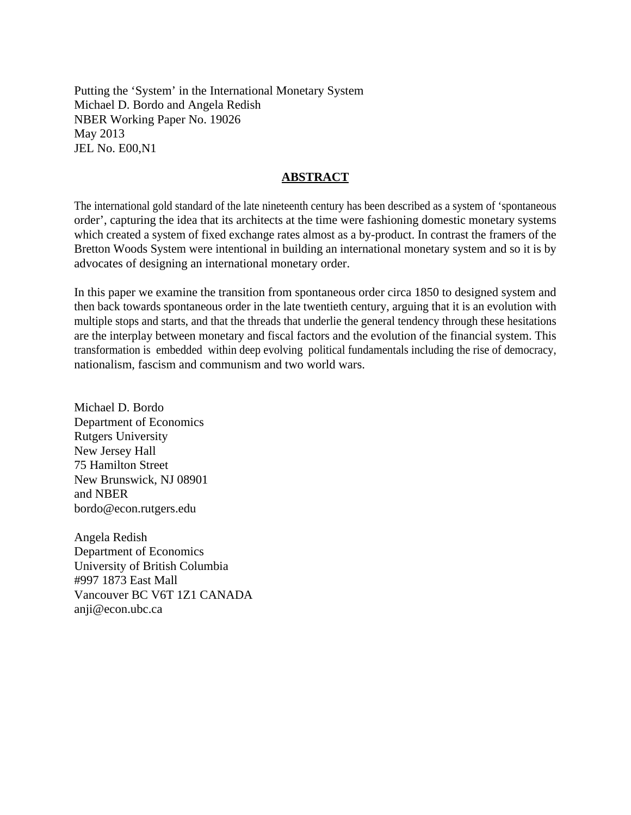Putting the 'System' in the International Monetary System Michael D. Bordo and Angela Redish NBER Working Paper No. 19026 May 2013 JEL No. E00,N1

# **ABSTRACT**

The international gold standard of the late nineteenth century has been described as a system of 'spontaneous order', capturing the idea that its architects at the time were fashioning domestic monetary systems which created a system of fixed exchange rates almost as a by-product. In contrast the framers of the Bretton Woods System were intentional in building an international monetary system and so it is by advocates of designing an international monetary order.

In this paper we examine the transition from spontaneous order circa 1850 to designed system and then back towards spontaneous order in the late twentieth century, arguing that it is an evolution with multiple stops and starts, and that the threads that underlie the general tendency through these hesitations are the interplay between monetary and fiscal factors and the evolution of the financial system. This transformation is embedded within deep evolving political fundamentals including the rise of democracy, nationalism, fascism and communism and two world wars.

Michael D. Bordo Department of Economics Rutgers University New Jersey Hall 75 Hamilton Street New Brunswick, NJ 08901 and NBER bordo@econ.rutgers.edu

Angela Redish Department of Economics University of British Columbia #997 1873 East Mall Vancouver BC V6T 1Z1 CANADA anji@econ.ubc.ca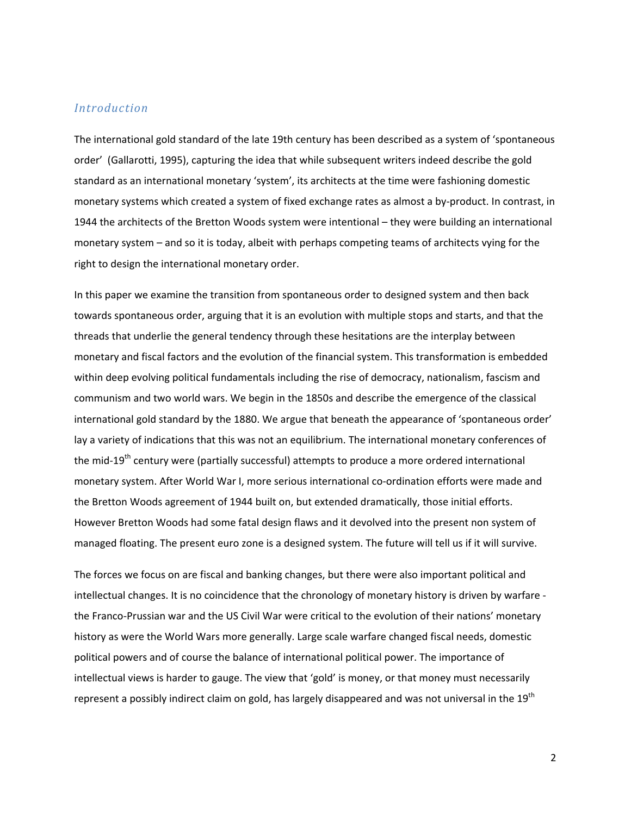# *Introduction*

The international gold standard of the late 19th century has been described as a system of 'spontaneous order' (Gallarotti, 1995), capturing the idea that while subsequent writers indeed describe the gold standard as an international monetary 'system', its architects at the time were fashioning domestic monetary systems which created a system of fixed exchange rates as almost a by‐product. In contrast, in 1944 the architects of the Bretton Woods system were intentional – they were building an international monetary system – and so it is today, albeit with perhaps competing teams of architects vying for the right to design the international monetary order.

In this paper we examine the transition from spontaneous order to designed system and then back towards spontaneous order, arguing that it is an evolution with multiple stops and starts, and that the threads that underlie the general tendency through these hesitations are the interplay between monetary and fiscal factors and the evolution of the financial system. This transformation is embedded within deep evolving political fundamentals including the rise of democracy, nationalism, fascism and communism and two world wars. We begin in the 1850s and describe the emergence of the classical international gold standard by the 1880. We argue that beneath the appearance of 'spontaneous order' lay a variety of indications that this was not an equilibrium. The international monetary conferences of the mid-19<sup>th</sup> century were (partially successful) attempts to produce a more ordered international monetary system. After World War I, more serious international co-ordination efforts were made and the Bretton Woods agreement of 1944 built on, but extended dramatically, those initial efforts. However Bretton Woods had some fatal design flaws and it devolved into the present non system of managed floating. The present euro zone is a designed system. The future will tell us if it will survive.

The forces we focus on are fiscal and banking changes, but there were also important political and intellectual changes. It is no coincidence that the chronology of monetary history is driven by warfare ‐ the Franco‐Prussian war and the US Civil War were critical to the evolution of their nations' monetary history as were the World Wars more generally. Large scale warfare changed fiscal needs, domestic political powers and of course the balance of international political power. The importance of intellectual views is harder to gauge. The view that 'gold' is money, or that money must necessarily represent a possibly indirect claim on gold, has largely disappeared and was not universal in the 19<sup>th</sup>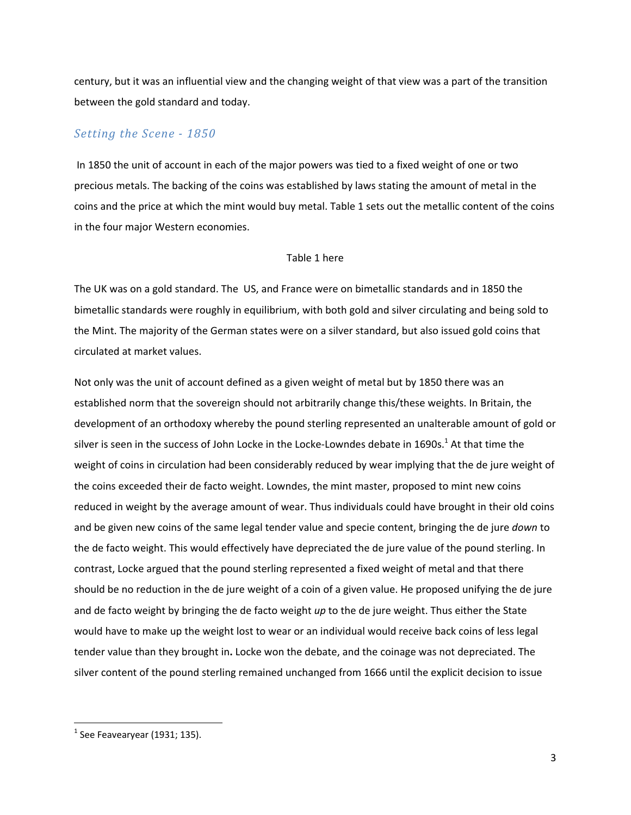century, but it was an influential view and the changing weight of that view was a part of the transition between the gold standard and today.

# *Setting the Scene ‐ 1850*

In 1850 the unit of account in each of the major powers was tied to a fixed weight of one or two precious metals. The backing of the coins was established by laws stating the amount of metal in the coins and the price at which the mint would buy metal. Table 1 sets out the metallic content of the coins in the four major Western economies.

### Table 1 here

The UK was on a gold standard. The US, and France were on bimetallic standards and in 1850 the bimetallic standards were roughly in equilibrium, with both gold and silver circulating and being sold to the Mint. The majority of the German states were on a silver standard, but also issued gold coins that circulated at market values.

Not only was the unit of account defined as a given weight of metal but by 1850 there was an established norm that the sovereign should not arbitrarily change this/these weights. In Britain, the development of an orthodoxy whereby the pound sterling represented an unalterable amount of gold or silver is seen in the success of John Locke in the Locke-Lowndes debate in 1690s.<sup>1</sup> At that time the weight of coins in circulation had been considerably reduced by wear implying that the de jure weight of the coins exceeded their de facto weight. Lowndes, the mint master, proposed to mint new coins reduced in weight by the average amount of wear. Thus individuals could have brought in their old coins and be given new coins of the same legal tender value and specie content, bringing the de jure *down* to the de facto weight. This would effectively have depreciated the de jure value of the pound sterling. In contrast, Locke argued that the pound sterling represented a fixed weight of metal and that there should be no reduction in the de jure weight of a coin of a given value. He proposed unifying the de jure and de facto weight by bringing the de facto weight *up* to the de jure weight. Thus either the State would have to make up the weight lost to wear or an individual would receive back coins of less legal tender value than they brought in**.** Locke won the debate, and the coinage was not depreciated. The silver content of the pound sterling remained unchanged from 1666 until the explicit decision to issue

 $<sup>1</sup>$  See Feavearyear (1931; 135).</sup>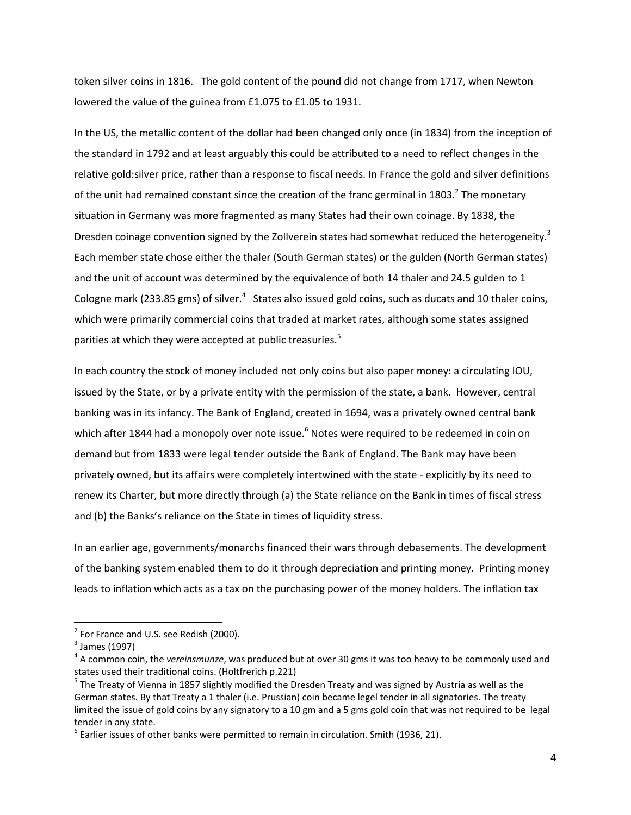token silver coins in 1816. The gold content of the pound did not change from 1717, when Newton lowered the value of the guinea from £1.075 to £1.05 to 1931.

In the US, the metallic content of the dollar had been changed only once (in 1834) from the inception of the standard in 1792 and at least arguably this could be attributed to a need to reflect changes in the relative gold:silver price, rather than a response to fiscal needs. In France the gold and silver definitions of the unit had remained constant since the creation of the franc germinal in 1803.<sup>2</sup> The monetary situation in Germany was more fragmented as many States had their own coinage. By 1838, the Dresden coinage convention signed by the Zollverein states had somewhat reduced the heterogeneity.<sup>3</sup> Each member state chose either the thaler (South German states) or the gulden (North German states) and the unit of account was determined by the equivalence of both 14 thaler and 24.5 gulden to 1 Cologne mark (233.85 gms) of silver. $^4$  States also issued gold coins, such as ducats and 10 thaler coins, which were primarily commercial coins that traded at market rates, although some states assigned parities at which they were accepted at public treasuries.<sup>5</sup>

In each country the stock of money included not only coins but also paper money: a circulating IOU, issued by the State, or by a private entity with the permission of the state, a bank. However, central banking was in its infancy. The Bank of England, created in 1694, was a privately owned central bank which after 1844 had a monopoly over note issue.<sup>6</sup> Notes were required to be redeemed in coin on demand but from 1833 were legal tender outside the Bank of England. The Bank may have been privately owned, but its affairs were completely intertwined with the state ‐ explicitly by its need to renew its Charter, but more directly through (a) the State reliance on the Bank in times of fiscal stress and (b) the Banks's reliance on the State in times of liquidity stress.

In an earlier age, governments/monarchs financed their wars through debasements. The development of the banking system enabled them to do it through depreciation and printing money. Printing money leads to inflation which acts as a tax on the purchasing power of the money holders. The inflation tax

<sup>&</sup>lt;sup>2</sup> For France and U.S. see Redish (2000).<br><sup>3</sup> James (1997)<br><sup>4</sup> A common coin, the *vereinsmunze*, was produced but at over 30 gms it was too heavy to be commonly used and states used their traditional coins. (Holtfrerich p.221)<br><sup>5</sup> The Treaty of Vienna in 1857 slightly modified the Dresden Treaty and was signed by Austria as well as the

German states. By that Treaty a 1 thaler (i.e. Prussian) coin became legel tender in all signatories. The treaty limited the issue of gold coins by any signatory to a 10 gm and a 5 gms gold coin that was not required to be legal tender in any state.<br>
<sup>6</sup> Earlier issues of other banks were permitted to remain in circulation. Smith (1936, 21).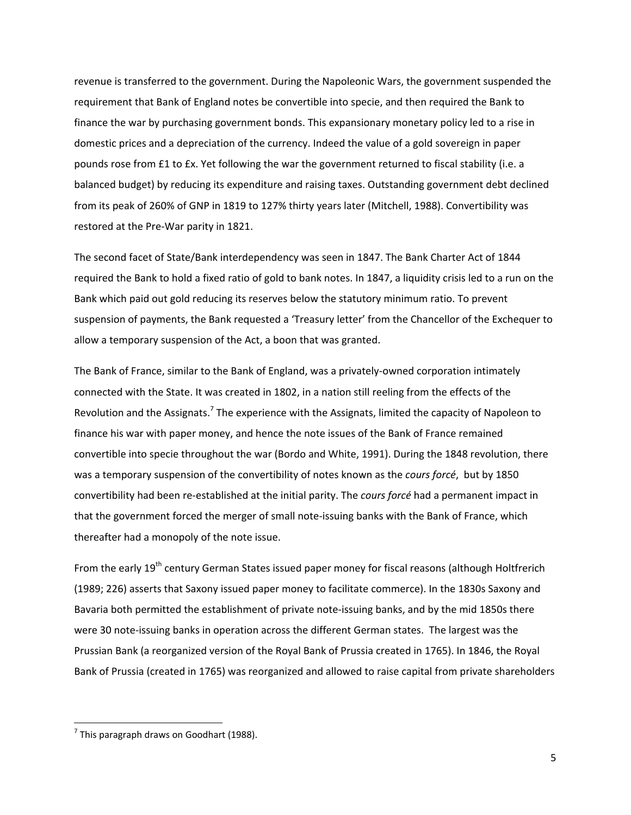revenue is transferred to the government. During the Napoleonic Wars, the government suspended the requirement that Bank of England notes be convertible into specie, and then required the Bank to finance the war by purchasing government bonds. This expansionary monetary policy led to a rise in domestic prices and a depreciation of the currency. Indeed the value of a gold sovereign in paper pounds rose from £1 to £x. Yet following the war the government returned to fiscal stability (i.e. a balanced budget) by reducing its expenditure and raising taxes. Outstanding government debt declined from its peak of 260% of GNP in 1819 to 127% thirty years later (Mitchell, 1988). Convertibility was restored at the Pre‐War parity in 1821.

The second facet of State/Bank interdependency was seen in 1847. The Bank Charter Act of 1844 required the Bank to hold a fixed ratio of gold to bank notes. In 1847, a liquidity crisis led to a run on the Bank which paid out gold reducing its reserves below the statutory minimum ratio. To prevent suspension of payments, the Bank requested a 'Treasury letter' from the Chancellor of the Exchequer to allow a temporary suspension of the Act, a boon that was granted.

The Bank of France, similar to the Bank of England, was a privately‐owned corporation intimately connected with the State. It was created in 1802, in a nation still reeling from the effects of the Revolution and the Assignats.<sup>7</sup> The experience with the Assignats, limited the capacity of Napoleon to finance his war with paper money, and hence the note issues of the Bank of France remained convertible into specie throughout the war (Bordo and White, 1991). During the 1848 revolution, there was a temporary suspension of the convertibility of notes known as the *cours forcé*, but by 1850 convertibility had been re‐established at the initial parity. The *cours forcé* had a permanent impact in that the government forced the merger of small note‐issuing banks with the Bank of France, which thereafter had a monopoly of the note issue.

From the early 19<sup>th</sup> century German States issued paper money for fiscal reasons (although Holtfrerich (1989; 226) asserts that Saxony issued paper money to facilitate commerce). In the 1830s Saxony and Bavaria both permitted the establishment of private note‐issuing banks, and by the mid 1850s there were 30 note‐issuing banks in operation across the different German states. The largest was the Prussian Bank (a reorganized version of the Royal Bank of Prussia created in 1765). In 1846, the Royal Bank of Prussia (created in 1765) was reorganized and allowed to raise capital from private shareholders

 $<sup>7</sup>$  This paragraph draws on Goodhart (1988).</sup>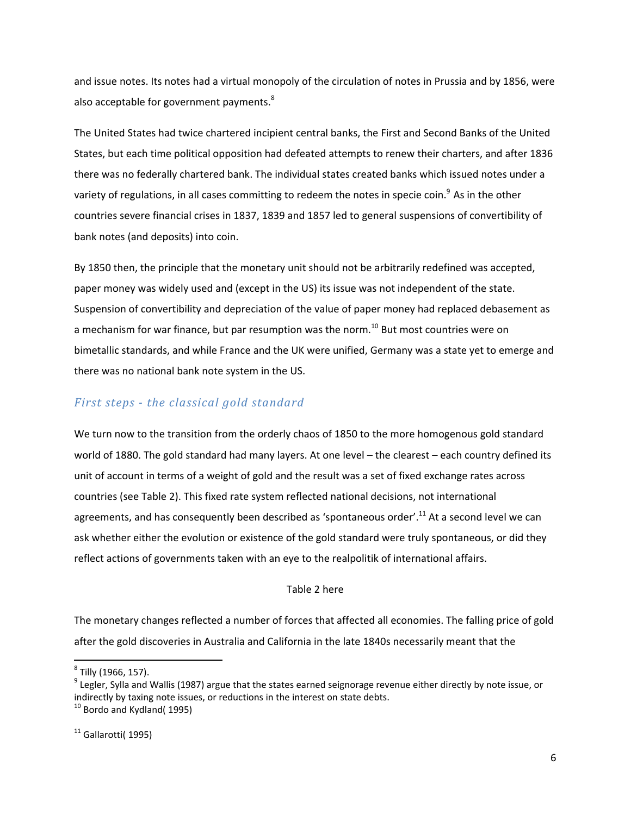and issue notes. Its notes had a virtual monopoly of the circulation of notes in Prussia and by 1856, were also acceptable for government payments.<sup>8</sup>

The United States had twice chartered incipient central banks, the First and Second Banks of the United States, but each time political opposition had defeated attempts to renew their charters, and after 1836 there was no federally chartered bank. The individual states created banks which issued notes under a variety of regulations, in all cases committing to redeem the notes in specie coin.<sup>9</sup> As in the other countries severe financial crises in 1837, 1839 and 1857 led to general suspensions of convertibility of bank notes (and deposits) into coin.

By 1850 then, the principle that the monetary unit should not be arbitrarily redefined was accepted, paper money was widely used and (except in the US) its issue was not independent of the state. Suspension of convertibility and depreciation of the value of paper money had replaced debasement as a mechanism for war finance, but par resumption was the norm.<sup>10</sup> But most countries were on bimetallic standards, and while France and the UK were unified, Germany was a state yet to emerge and there was no national bank note system in the US.

# *First steps ‐ the classical gold standard*

We turn now to the transition from the orderly chaos of 1850 to the more homogenous gold standard world of 1880. The gold standard had many layers. At one level – the clearest – each country defined its unit of account in terms of a weight of gold and the result was a set of fixed exchange rates across countries (see Table 2). This fixed rate system reflected national decisions, not international agreements, and has consequently been described as 'spontaneous order'.<sup>11</sup> At a second level we can ask whether either the evolution or existence of the gold standard were truly spontaneous, or did they reflect actions of governments taken with an eye to the realpolitik of international affairs.

# Table 2 here

The monetary changes reflected a number of forces that affected all economies. The falling price of gold after the gold discoveries in Australia and California in the late 1840s necessarily meant that the

 $^8$  Tilly (1966, 157).<br> $^9$  Legler, Sylla and Wallis (1987) argue that the states earned seignorage revenue either directly by note issue, or indirectly by taxing note issues, or reductions in the interest on state debts.  $^{10}$  Bordo and Kydland( 1995)

 $11$  Gallarotti( 1995)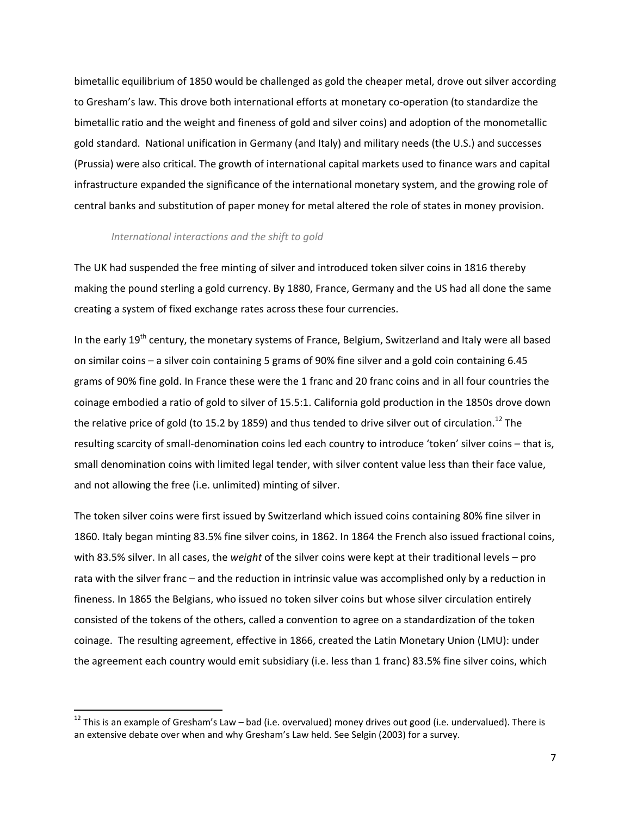bimetallic equilibrium of 1850 would be challenged as gold the cheaper metal, drove out silver according to Gresham's law. This drove both international efforts at monetary co-operation (to standardize the bimetallic ratio and the weight and fineness of gold and silver coins) and adoption of the monometallic gold standard. National unification in Germany (and Italy) and military needs (the U.S.) and successes (Prussia) were also critical. The growth of international capital markets used to finance wars and capital infrastructure expanded the significance of the international monetary system, and the growing role of central banks and substitution of paper money for metal altered the role of states in money provision.

### *International interactions and the shift to gold*

The UK had suspended the free minting of silver and introduced token silver coins in 1816 thereby making the pound sterling a gold currency. By 1880, France, Germany and the US had all done the same creating a system of fixed exchange rates across these four currencies.

In the early 19<sup>th</sup> century, the monetary systems of France, Belgium, Switzerland and Italy were all based on similar coins – a silver coin containing 5 grams of 90% fine silver and a gold coin containing 6.45 grams of 90% fine gold. In France these were the 1 franc and 20 franc coins and in all four countries the coinage embodied a ratio of gold to silver of 15.5:1. California gold production in the 1850s drove down the relative price of gold (to 15.2 by 1859) and thus tended to drive silver out of circulation.<sup>12</sup> The resulting scarcity of small-denomination coins led each country to introduce 'token' silver coins – that is, small denomination coins with limited legal tender, with silver content value less than their face value, and not allowing the free (i.e. unlimited) minting of silver.

The token silver coins were first issued by Switzerland which issued coins containing 80% fine silver in 1860. Italy began minting 83.5% fine silver coins, in 1862. In 1864 the French also issued fractional coins, with 83.5% silver. In all cases, the *weight* of the silver coins were kept at their traditional levels – pro rata with the silver franc – and the reduction in intrinsic value was accomplished only by a reduction in fineness. In 1865 the Belgians, who issued no token silver coins but whose silver circulation entirely consisted of the tokens of the others, called a convention to agree on a standardization of the token coinage. The resulting agreement, effective in 1866, created the Latin Monetary Union (LMU): under the agreement each country would emit subsidiary (i.e. less than 1 franc) 83.5% fine silver coins, which

 $12$  This is an example of Gresham's Law – bad (i.e. overvalued) money drives out good (i.e. undervalued). There is an extensive debate over when and why Gresham's Law held. See Selgin (2003) for a survey.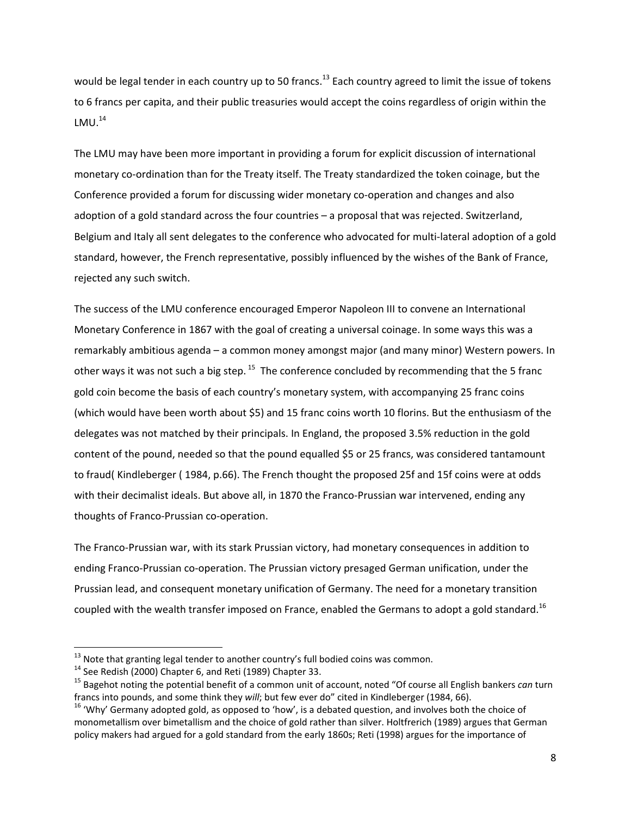would be legal tender in each country up to 50 francs.<sup>13</sup> Each country agreed to limit the issue of tokens to 6 francs per capita, and their public treasuries would accept the coins regardless of origin within the  $LMU.<sup>14</sup>$ 

The LMU may have been more important in providing a forum for explicit discussion of international monetary co‐ordination than for the Treaty itself. The Treaty standardized the token coinage, but the Conference provided a forum for discussing wider monetary co-operation and changes and also adoption of a gold standard across the four countries – a proposal that was rejected. Switzerland, Belgium and Italy all sent delegates to the conference who advocated for multi‐lateral adoption of a gold standard, however, the French representative, possibly influenced by the wishes of the Bank of France, rejected any such switch.

The success of the LMU conference encouraged Emperor Napoleon III to convene an International Monetary Conference in 1867 with the goal of creating a universal coinage. In some ways this was a remarkably ambitious agenda – a common money amongst major (and many minor) Western powers. In other ways it was not such a big step.  $^{15}$  The conference concluded by recommending that the 5 franc gold coin become the basis of each country's monetary system, with accompanying 25 franc coins (which would have been worth about \$5) and 15 franc coins worth 10 florins. But the enthusiasm of the delegates was not matched by their principals. In England, the proposed 3.5% reduction in the gold content of the pound, needed so that the pound equalled \$5 or 25 francs, was considered tantamount to fraud( Kindleberger ( 1984, p.66). The French thought the proposed 25f and 15f coins were at odds with their decimalist ideals. But above all, in 1870 the Franco-Prussian war intervened, ending any thoughts of Franco‐Prussian co‐operation.

The Franco‐Prussian war, with its stark Prussian victory, had monetary consequences in addition to ending Franco‐Prussian co‐operation. The Prussian victory presaged German unification, under the Prussian lead, and consequent monetary unification of Germany. The need for a monetary transition coupled with the wealth transfer imposed on France, enabled the Germans to adopt a gold standard.<sup>16</sup>

<sup>&</sup>lt;sup>13</sup> Note that granting legal tender to another country's full bodied coins was common.

<sup>&</sup>lt;sup>14</sup> See Redish (2000) Chapter 6, and Reti (1989) Chapter 33.<br><sup>15</sup> Bagehot noting the potential benefit of a common unit of account, noted "Of course all English bankers *can* turn francs into pounds, and some think they *will*; but few ever do" cited in Kindleberger (1984, 66).<br><sup>16</sup> 'Why' Germany adopted gold, as opposed to 'how', is a debated question, and involves both the choice of

monometallism over bimetallism and the choice of gold rather than silver. Holtfrerich (1989) argues that German policy makers had argued for a gold standard from the early 1860s; Reti (1998) argues for the importance of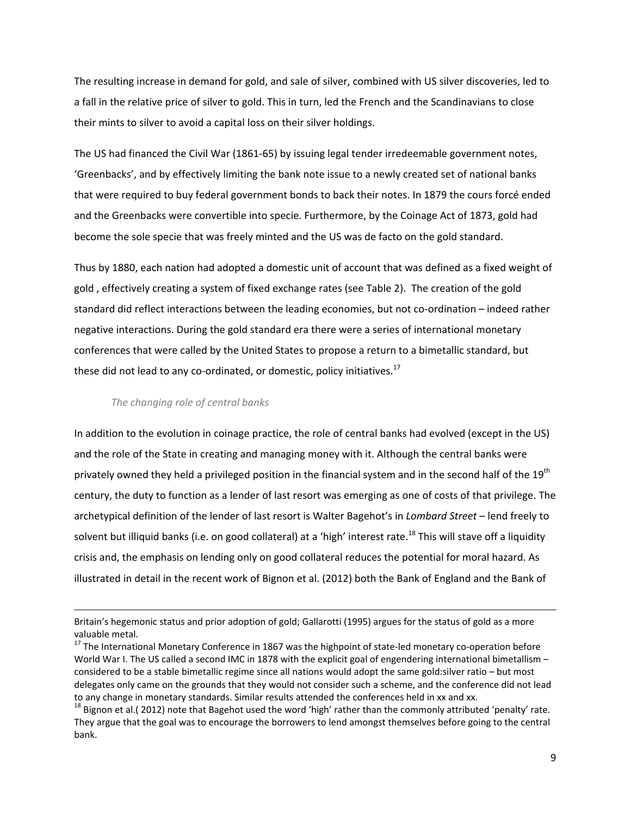The resulting increase in demand for gold, and sale of silver, combined with US silver discoveries, led to a fall in the relative price of silver to gold. This in turn, led the French and the Scandinavians to close their mints to silver to avoid a capital loss on their silver holdings.

The US had financed the Civil War (1861‐65) by issuing legal tender irredeemable government notes, 'Greenbacks', and by effectively limiting the bank note issue to a newly created set of national banks that were required to buy federal government bonds to back their notes. In 1879 the cours forcé ended and the Greenbacks were convertible into specie. Furthermore, by the Coinage Act of 1873, gold had become the sole specie that was freely minted and the US was de facto on the gold standard.

Thus by 1880, each nation had adopted a domestic unit of account that was defined as a fixed weight of gold , effectively creating a system of fixed exchange rates (see Table 2). The creation of the gold standard did reflect interactions between the leading economies, but not co-ordination – indeed rather negative interactions. During the gold standard era there were a series of international monetary conferences that were called by the United States to propose a return to a bimetallic standard, but these did not lead to any co-ordinated, or domestic, policy initiatives. $17$ 

### *The changing role of central banks*

In addition to the evolution in coinage practice, the role of central banks had evolved (except in the US) and the role of the State in creating and managing money with it. Although the central banks were privately owned they held a privileged position in the financial system and in the second half of the 19<sup>th</sup> century, the duty to function as a lender of last resort was emerging as one of costs of that privilege. The archetypical definition of the lender of last resort is Walter Bagehot's in *Lombard Street* – lend freely to solvent but illiquid banks (i.e. on good collateral) at a 'high' interest rate.<sup>18</sup> This will stave off a liquidity crisis and, the emphasis on lending only on good collateral reduces the potential for moral hazard. As illustrated in detail in the recent work of Bignon et al. (2012) both the Bank of England and the Bank of

<u> Andrewski politika (za obrazu pod predsjednika u predsjednika u predsjednika u predsjednika (za obrazu pod p</u>

Britain's hegemonic status and prior adoption of gold; Gallarotti (1995) argues for the status of gold as a more valuable metal.<br><sup>17</sup> The International Monetary Conference in 1867 was the highpoint of state-led monetary co-operation before

World War I. The US called a second IMC in 1878 with the explicit goal of engendering international bimetallism – considered to be a stable bimetallic regime since all nations would adopt the same gold:silver ratio – but most delegates only came on the grounds that they would not consider such a scheme, and the conference did not lead to any change in monetary standards. Similar results attended the conferences held in xx and xx.<br><sup>18</sup> Bignon et al.( 2012) note that Bagehot used the word 'high' rather than the commonly attributed 'penalty' rate.

They argue that the goal was to encourage the borrowers to lend amongst themselves before going to the central bank.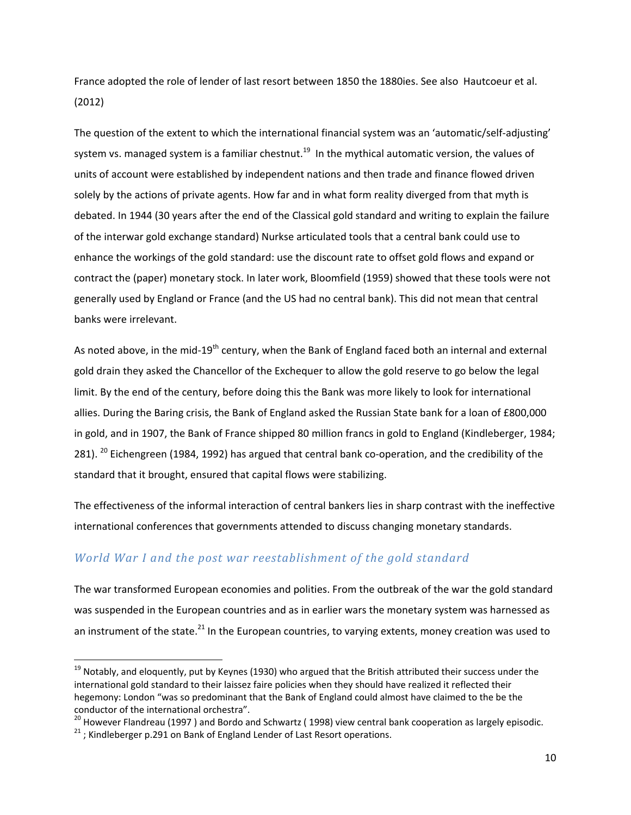France adopted the role of lender of last resort between 1850 the 1880ies. See also Hautcoeur et al. (2012)

The question of the extent to which the international financial system was an 'automatic/self‐adjusting' system vs. managed system is a familiar chestnut.<sup>19</sup> In the mythical automatic version, the values of units of account were established by independent nations and then trade and finance flowed driven solely by the actions of private agents. How far and in what form reality diverged from that myth is debated. In 1944 (30 years after the end of the Classical gold standard and writing to explain the failure of the interwar gold exchange standard) Nurkse articulated tools that a central bank could use to enhance the workings of the gold standard: use the discount rate to offset gold flows and expand or contract the (paper) monetary stock. In later work, Bloomfield (1959) showed that these tools were not generally used by England or France (and the US had no central bank). This did not mean that central banks were irrelevant.

As noted above, in the mid-19<sup>th</sup> century, when the Bank of England faced both an internal and external gold drain they asked the Chancellor of the Exchequer to allow the gold reserve to go below the legal limit. By the end of the century, before doing this the Bank was more likely to look for international allies. During the Baring crisis, the Bank of England asked the Russian State bank for a loan of £800,000 in gold, and in 1907, the Bank of France shipped 80 million francs in gold to England (Kindleberger, 1984; 281). <sup>20</sup> Eichengreen (1984, 1992) has argued that central bank co-operation, and the credibility of the standard that it brought, ensured that capital flows were stabilizing.

The effectiveness of the informal interaction of central bankers lies in sharp contrast with the ineffective international conferences that governments attended to discuss changing monetary standards.

# *World War I and the post war reestablishment of the gold standard*

The war transformed European economies and polities. From the outbreak of the war the gold standard was suspended in the European countries and as in earlier wars the monetary system was harnessed as an instrument of the state.<sup>21</sup> In the European countries, to varying extents, money creation was used to

<sup>&</sup>lt;sup>19</sup> Notably, and eloquently, put by Keynes (1930) who argued that the British attributed their success under the international gold standard to their laissez faire policies when they should have realized it reflected their hegemony: London "was so predominant that the Bank of England could almost have claimed to the be the conductor of the international orchestra".<br><sup>20</sup> However Flandreau (1997) and Bordo and Schwartz (1998) view central bank cooperation as largely episodic.<br><sup>21</sup> ; Kindleberger p.291 on Bank of England Lender of Last Resort o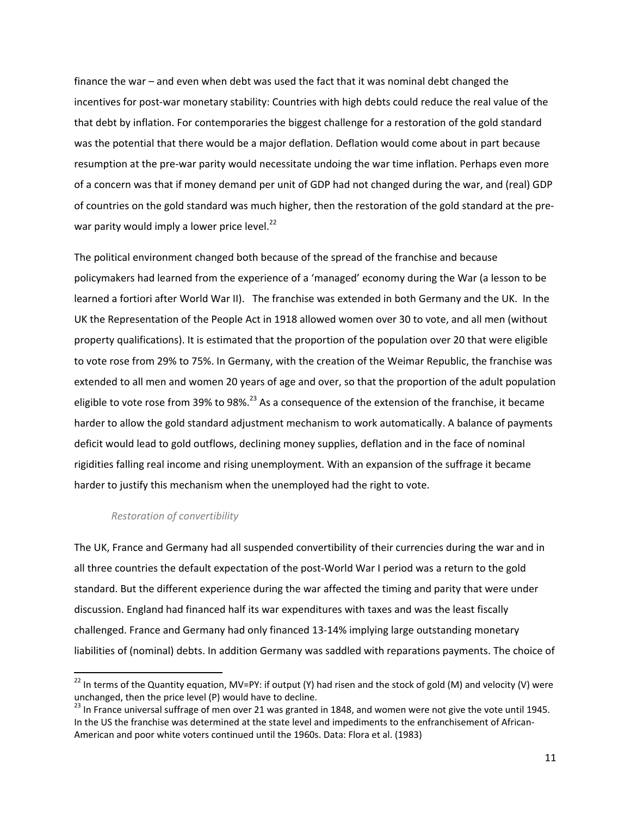finance the war – and even when debt was used the fact that it was nominal debt changed the incentives for post-war monetary stability: Countries with high debts could reduce the real value of the that debt by inflation. For contemporaries the biggest challenge for a restoration of the gold standard was the potential that there would be a major deflation. Deflation would come about in part because resumption at the pre-war parity would necessitate undoing the war time inflation. Perhaps even more of a concern was that if money demand per unit of GDP had not changed during the war, and (real) GDP of countries on the gold standard was much higher, then the restoration of the gold standard at the pre‐ war parity would imply a lower price level. $^{22}$ 

The political environment changed both because of the spread of the franchise and because policymakers had learned from the experience of a 'managed' economy during the War (a lesson to be learned a fortiori after World War II). The franchise was extended in both Germany and the UK. In the UK the Representation of the People Act in 1918 allowed women over 30 to vote, and all men (without property qualifications). It is estimated that the proportion of the population over 20 that were eligible to vote rose from 29% to 75%. In Germany, with the creation of the Weimar Republic, the franchise was extended to all men and women 20 years of age and over, so that the proportion of the adult population eligible to vote rose from 39% to 98%.<sup>23</sup> As a consequence of the extension of the franchise, it became harder to allow the gold standard adjustment mechanism to work automatically. A balance of payments deficit would lead to gold outflows, declining money supplies, deflation and in the face of nominal rigidities falling real income and rising unemployment. With an expansion of the suffrage it became harder to justify this mechanism when the unemployed had the right to vote.

### *Restoration of convertibility*

The UK, France and Germany had all suspended convertibility of their currencies during the war and in all three countries the default expectation of the post‐World War I period was a return to the gold standard. But the different experience during the war affected the timing and parity that were under discussion. England had financed half its war expenditures with taxes and was the least fiscally challenged. France and Germany had only financed 13‐14% implying large outstanding monetary liabilities of (nominal) debts. In addition Germany was saddled with reparations payments. The choice of

<sup>&</sup>lt;sup>22</sup> In terms of the Quantity equation, MV=PY: if output (Y) had risen and the stock of gold (M) and velocity (V) were unchanged, then the price level (P) would have to decline.<br><sup>23</sup> In France universal suffrage of men over 21 was granted in 1848, and women were not give the vote until 1945.

In the US the franchise was determined at the state level and impediments to the enfranchisement of African-American and poor white voters continued until the 1960s. Data: Flora et al. (1983)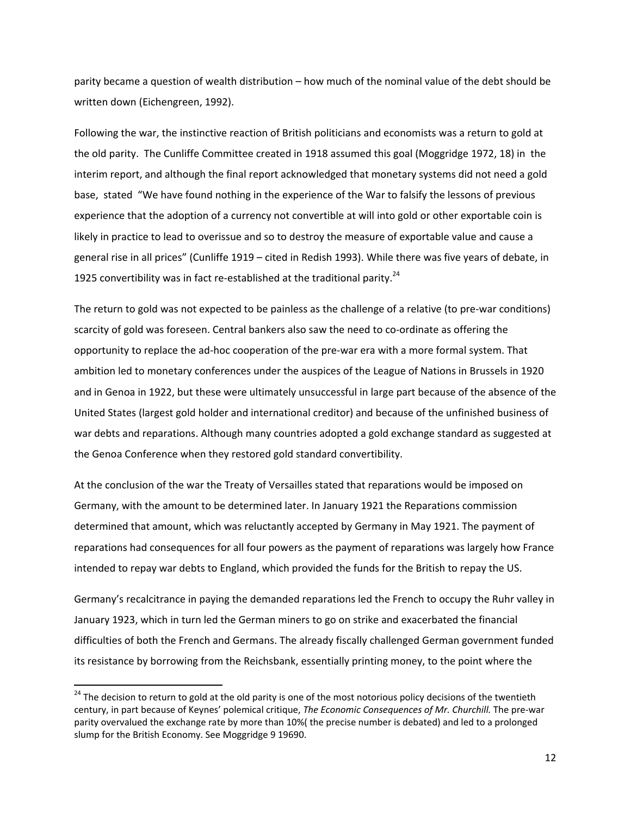parity became a question of wealth distribution – how much of the nominal value of the debt should be written down (Eichengreen, 1992).

Following the war, the instinctive reaction of British politicians and economists was a return to gold at the old parity. The Cunliffe Committee created in 1918 assumed this goal (Moggridge 1972, 18) in the interim report, and although the final report acknowledged that monetary systems did not need a gold base, stated "We have found nothing in the experience of the War to falsify the lessons of previous experience that the adoption of a currency not convertible at will into gold or other exportable coin is likely in practice to lead to overissue and so to destroy the measure of exportable value and cause a general rise in all prices" (Cunliffe 1919 – cited in Redish 1993). While there was five years of debate, in 1925 convertibility was in fact re-established at the traditional parity.<sup>24</sup>

The return to gold was not expected to be painless as the challenge of a relative (to pre‐war conditions) scarcity of gold was foreseen. Central bankers also saw the need to co-ordinate as offering the opportunity to replace the ad‐hoc cooperation of the pre‐war era with a more formal system. That ambition led to monetary conferences under the auspices of the League of Nations in Brussels in 1920 and in Genoa in 1922, but these were ultimately unsuccessful in large part because of the absence of the United States (largest gold holder and international creditor) and because of the unfinished business of war debts and reparations. Although many countries adopted a gold exchange standard as suggested at the Genoa Conference when they restored gold standard convertibility.

At the conclusion of the war the Treaty of Versailles stated that reparations would be imposed on Germany, with the amount to be determined later. In January 1921 the Reparations commission determined that amount, which was reluctantly accepted by Germany in May 1921. The payment of reparations had consequences for all four powers as the payment of reparations was largely how France intended to repay war debts to England, which provided the funds for the British to repay the US.

Germany's recalcitrance in paying the demanded reparations led the French to occupy the Ruhr valley in January 1923, which in turn led the German miners to go on strike and exacerbated the financial difficulties of both the French and Germans. The already fiscally challenged German government funded its resistance by borrowing from the Reichsbank, essentially printing money, to the point where the

<sup>&</sup>lt;sup>24</sup> The decision to return to gold at the old parity is one of the most notorious policy decisions of the twentieth century, in part because of Keynes' polemical critique, *The Economic Consequences of Mr. Churchill.* The pre‐war parity overvalued the exchange rate by more than 10%( the precise number is debated) and led to a prolonged slump for the British Economy. See Moggridge 9 19690.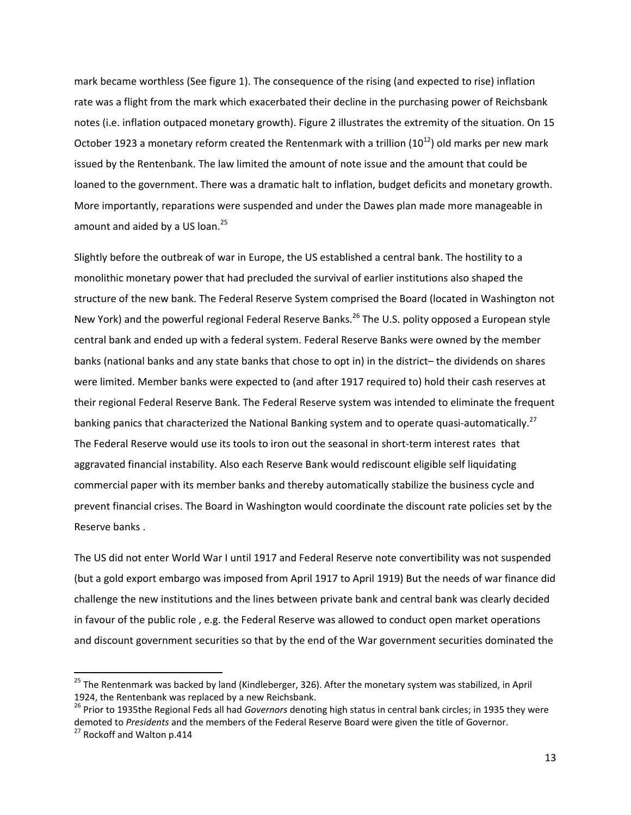mark became worthless (See figure 1). The consequence of the rising (and expected to rise) inflation rate was a flight from the mark which exacerbated their decline in the purchasing power of Reichsbank notes (i.e. inflation outpaced monetary growth). Figure 2 illustrates the extremity of the situation. On 15 October 1923 a monetary reform created the Rentenmark with a trillion  $(10^{12})$  old marks per new mark issued by the Rentenbank. The law limited the amount of note issue and the amount that could be loaned to the government. There was a dramatic halt to inflation, budget deficits and monetary growth. More importantly, reparations were suspended and under the Dawes plan made more manageable in amount and aided by a US loan.<sup>25</sup>

Slightly before the outbreak of war in Europe, the US established a central bank. The hostility to a monolithic monetary power that had precluded the survival of earlier institutions also shaped the structure of the new bank. The Federal Reserve System comprised the Board (located in Washington not New York) and the powerful regional Federal Reserve Banks.<sup>26</sup> The U.S. polity opposed a European style central bank and ended up with a federal system. Federal Reserve Banks were owned by the member banks (national banks and any state banks that chose to opt in) in the district– the dividends on shares were limited. Member banks were expected to (and after 1917 required to) hold their cash reserves at their regional Federal Reserve Bank. The Federal Reserve system was intended to eliminate the frequent banking panics that characterized the National Banking system and to operate quasi-automatically.<sup>27</sup> The Federal Reserve would use its tools to iron out the seasonal in short-term interest rates that aggravated financial instability. Also each Reserve Bank would rediscount eligible self liquidating commercial paper with its member banks and thereby automatically stabilize the business cycle and prevent financial crises. The Board in Washington would coordinate the discount rate policies set by the Reserve banks .

The US did not enter World War I until 1917 and Federal Reserve note convertibility was not suspended (but a gold export embargo was imposed from April 1917 to April 1919) But the needs of war finance did challenge the new institutions and the lines between private bank and central bank was clearly decided in favour of the public role , e.g. the Federal Reserve was allowed to conduct open market operations and discount government securities so that by the end of the War government securities dominated the

<sup>&</sup>lt;sup>25</sup> The Rentenmark was backed by land (Kindleberger, 326). After the monetary system was stabilized, in April 1924, the Rentenbank was replaced by a new Reichsbank.<br><sup>26</sup> Prior to 1935the Regional Feds all had *Governors* denoting high status in central bank circles; in 1935 they were

demoted to *Presidents* and the members of the Federal Reserve Board were given the title of Governor.<br><sup>27</sup> Rockoff and Walton p.414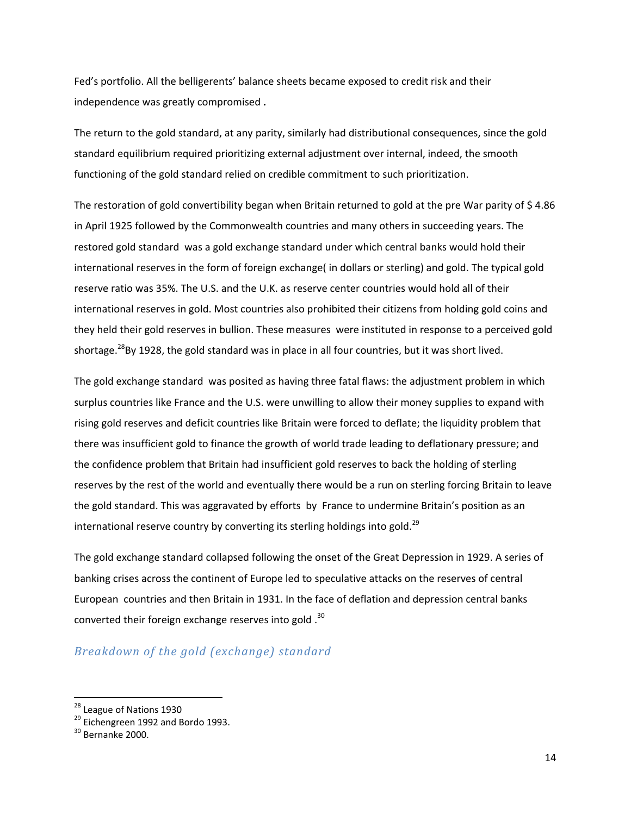Fed's portfolio. All the belligerents' balance sheets became exposed to credit risk and their independence was greatly compromised **.**

The return to the gold standard, at any parity, similarly had distributional consequences, since the gold standard equilibrium required prioritizing external adjustment over internal, indeed, the smooth functioning of the gold standard relied on credible commitment to such prioritization.

The restoration of gold convertibility began when Britain returned to gold at the pre War parity of \$ 4.86 in April 1925 followed by the Commonwealth countries and many others in succeeding years. The restored gold standard was a gold exchange standard under which central banks would hold their international reserves in the form of foreign exchange( in dollars or sterling) and gold. The typical gold reserve ratio was 35%. The U.S. and the U.K. as reserve center countries would hold all of their international reserves in gold. Most countries also prohibited their citizens from holding gold coins and they held their gold reserves in bullion. These measures were instituted in response to a perceived gold shortage.<sup>28</sup>By 1928, the gold standard was in place in all four countries, but it was short lived.

The gold exchange standard was posited as having three fatal flaws: the adjustment problem in which surplus countries like France and the U.S. were unwilling to allow their money supplies to expand with rising gold reserves and deficit countries like Britain were forced to deflate; the liquidity problem that there was insufficient gold to finance the growth of world trade leading to deflationary pressure; and the confidence problem that Britain had insufficient gold reserves to back the holding of sterling reserves by the rest of the world and eventually there would be a run on sterling forcing Britain to leave the gold standard. This was aggravated by efforts by France to undermine Britain's position as an international reserve country by converting its sterling holdings into gold. $^{29}$ 

The gold exchange standard collapsed following the onset of the Great Depression in 1929. A series of banking crises across the continent of Europe led to speculative attacks on the reserves of central European countries and then Britain in 1931. In the face of deflation and depression central banks converted their foreign exchange reserves into gold .<sup>30</sup>

# *Breakdown of the gold (exchange) standard*

<sup>&</sup>lt;sup>28</sup> League of Nations 1930<br><sup>29</sup> Eichengreen 1992 and Bordo 1993.<br><sup>30</sup> Bernanke 2000.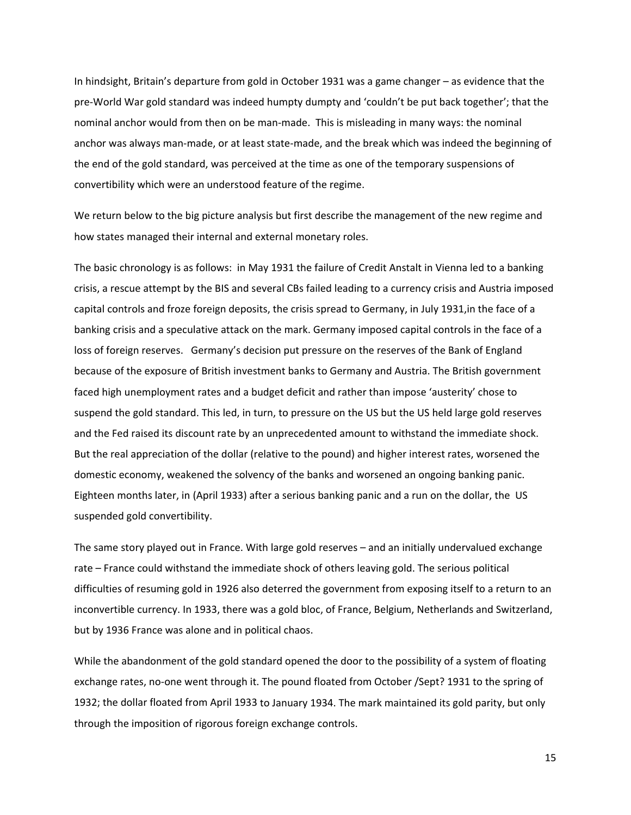In hindsight, Britain's departure from gold in October 1931 was a game changer – as evidence that the pre‐World War gold standard was indeed humpty dumpty and 'couldn't be put back together'; that the nominal anchor would from then on be man‐made. This is misleading in many ways: the nominal anchor was always man‐made, or at least state‐made, and the break which was indeed the beginning of the end of the gold standard, was perceived at the time as one of the temporary suspensions of convertibility which were an understood feature of the regime.

We return below to the big picture analysis but first describe the management of the new regime and how states managed their internal and external monetary roles.

The basic chronology is as follows: in May 1931 the failure of Credit Anstalt in Vienna led to a banking crisis, a rescue attempt by the BIS and several CBs failed leading to a currency crisis and Austria imposed capital controls and froze foreign deposits, the crisis spread to Germany, in July 1931,in the face of a banking crisis and a speculative attack on the mark. Germany imposed capital controls in the face of a loss of foreign reserves. Germany's decision put pressure on the reserves of the Bank of England because of the exposure of British investment banks to Germany and Austria. The British government faced high unemployment rates and a budget deficit and rather than impose 'austerity' chose to suspend the gold standard. This led, in turn, to pressure on the US but the US held large gold reserves and the Fed raised its discount rate by an unprecedented amount to withstand the immediate shock. But the real appreciation of the dollar (relative to the pound) and higher interest rates, worsened the domestic economy, weakened the solvency of the banks and worsened an ongoing banking panic. Eighteen months later, in (April 1933) after a serious banking panic and a run on the dollar, the US suspended gold convertibility.

The same story played out in France. With large gold reserves – and an initially undervalued exchange rate – France could withstand the immediate shock of others leaving gold. The serious political difficulties of resuming gold in 1926 also deterred the government from exposing itself to a return to an inconvertible currency. In 1933, there was a gold bloc, of France, Belgium, Netherlands and Switzerland, but by 1936 France was alone and in political chaos.

While the abandonment of the gold standard opened the door to the possibility of a system of floating exchange rates, no-one went through it. The pound floated from October /Sept? 1931 to the spring of 1932; the dollar floated from April 1933 to January 1934. The mark maintained its gold parity, but only through the imposition of rigorous foreign exchange controls.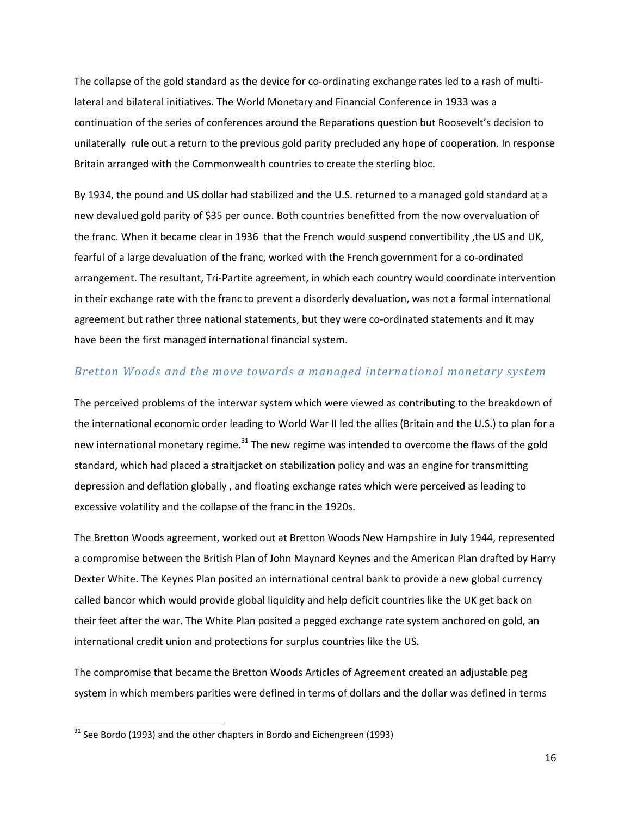The collapse of the gold standard as the device for co-ordinating exchange rates led to a rash of multilateral and bilateral initiatives. The World Monetary and Financial Conference in 1933 was a continuation of the series of conferences around the Reparations question but Roosevelt's decision to unilaterally rule out a return to the previous gold parity precluded any hope of cooperation. In response Britain arranged with the Commonwealth countries to create the sterling bloc.

By 1934, the pound and US dollar had stabilized and the U.S. returned to a managed gold standard at a new devalued gold parity of \$35 per ounce. Both countries benefitted from the now overvaluation of the franc. When it became clear in 1936 that the French would suspend convertibility ,the US and UK, fearful of a large devaluation of the franc, worked with the French government for a co‐ordinated arrangement. The resultant, Tri‐Partite agreement, in which each country would coordinate intervention in their exchange rate with the franc to prevent a disorderly devaluation, was not a formal international agreement but rather three national statements, but they were co-ordinated statements and it may have been the first managed international financial system.

# *Bretton Woods and the move towards a managed international monetary system*

The perceived problems of the interwar system which were viewed as contributing to the breakdown of the international economic order leading to World War II led the allies (Britain and the U.S.) to plan for a new international monetary regime.<sup>31</sup> The new regime was intended to overcome the flaws of the gold standard, which had placed a straitjacket on stabilization policy and was an engine for transmitting depression and deflation globally , and floating exchange rates which were perceived as leading to excessive volatility and the collapse of the franc in the 1920s.

The Bretton Woods agreement, worked out at Bretton Woods New Hampshire in July 1944, represented a compromise between the British Plan of John Maynard Keynes and the American Plan drafted by Harry Dexter White. The Keynes Plan posited an international central bank to provide a new global currency called bancor which would provide global liquidity and help deficit countries like the UK get back on their feet after the war. The White Plan posited a pegged exchange rate system anchored on gold, an international credit union and protections for surplus countries like the US.

The compromise that became the Bretton Woods Articles of Agreement created an adjustable peg system in which members parities were defined in terms of dollars and the dollar was defined in terms

 $31$  See Bordo (1993) and the other chapters in Bordo and Eichengreen (1993)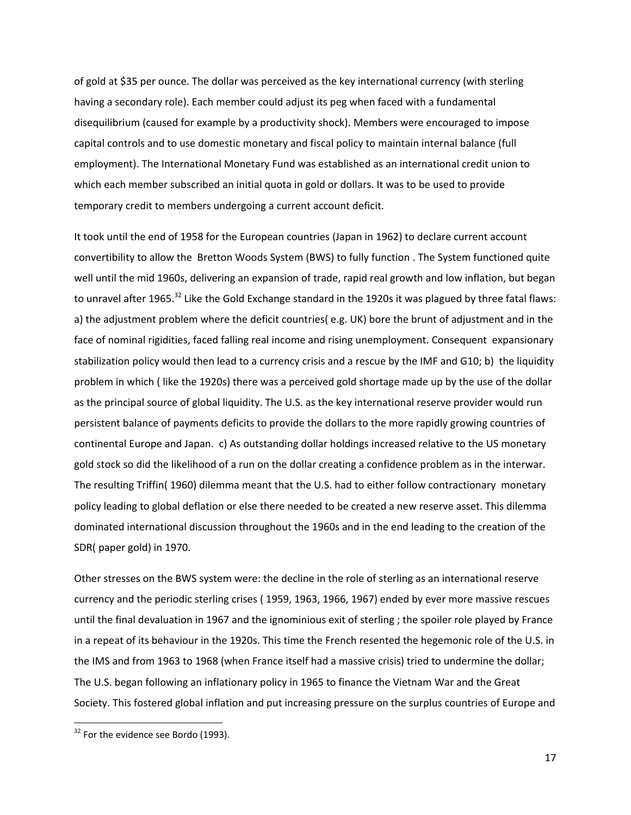of gold at \$35 per ounce. The dollar was perceived as the key international currency (with sterling having a secondary role). Each member could adjust its peg when faced with a fundamental disequilibrium (caused for example by a productivity shock). Members were encouraged to impose capital controls and to use domestic monetary and fiscal policy to maintain internal balance (full employment). The International Monetary Fund was established as an international credit union to which each member subscribed an initial quota in gold or dollars. It was to be used to provide temporary credit to members undergoing a current account deficit.

It took until the end of 1958 for the European countries (Japan in 1962) to declare current account convertibility to allow the Bretton Woods System (BWS) to fully function . The System functioned quite well until the mid 1960s, delivering an expansion of trade, rapid real growth and low inflation, but began to unravel after 1965.<sup>32</sup> Like the Gold Exchange standard in the 1920s it was plagued by three fatal flaws: a) the adjustment problem where the deficit countries( e.g. UK) bore the brunt of adjustment and in the face of nominal rigidities, faced falling real income and rising unemployment. Consequent expansionary stabilization policy would then lead to a currency crisis and a rescue by the IMF and G10; b) the liquidity problem in which ( like the 1920s) there was a perceived gold shortage made up by the use of the dollar as the principal source of global liquidity. The U.S. as the key international reserve provider would run persistent balance of payments deficits to provide the dollars to the more rapidly growing countries of continental Europe and Japan. c) As outstanding dollar holdings increased relative to the US monetary gold stock so did the likelihood of a run on the dollar creating a confidence problem as in the interwar. The resulting Triffin( 1960) dilemma meant that the U.S. had to either follow contractionary monetary policy leading to global deflation or else there needed to be created a new reserve asset. This dilemma dominated international discussion throughout the 1960s and in the end leading to the creation of the SDR( paper gold) in 1970.

Other stresses on the BWS system were: the decline in the role of sterling as an international reserve currency and the periodic sterling crises ( 1959, 1963, 1966, 1967) ended by ever more massive rescues until the final devaluation in 1967 and the ignominious exit of sterling ; the spoiler role played by France in a repeat of its behaviour in the 1920s. This time the French resented the hegemonic role of the U.S. in the IMS and from 1963 to 1968 (when France itself had a massive crisis) tried to undermine the dollar; The U.S. began following an inflationary policy in 1965 to finance the Vietnam War and the Great Society. This fostered global inflation and put increasing pressure on the surplus countries of Europe and

  $32$  For the evidence see Bordo (1993).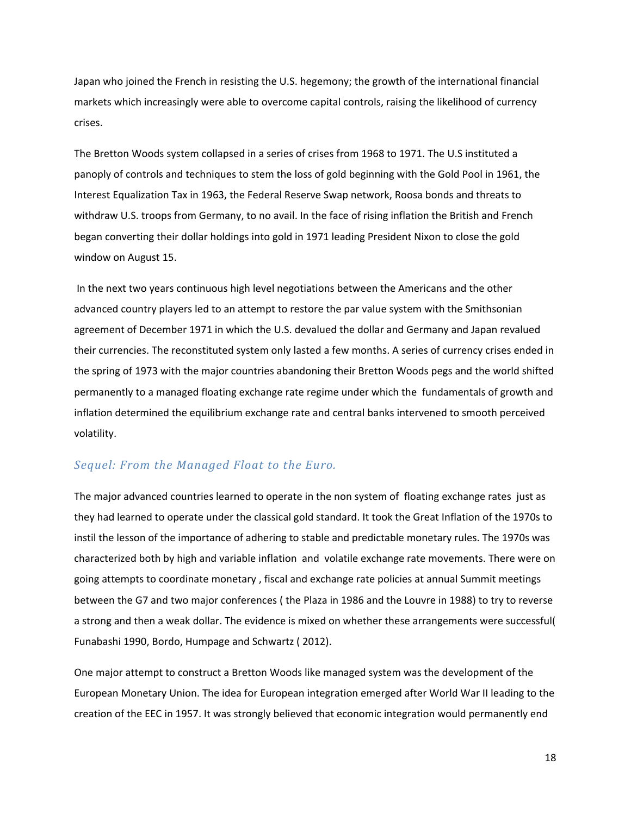Japan who joined the French in resisting the U.S. hegemony; the growth of the international financial markets which increasingly were able to overcome capital controls, raising the likelihood of currency crises.

The Bretton Woods system collapsed in a series of crises from 1968 to 1971. The U.S instituted a panoply of controls and techniques to stem the loss of gold beginning with the Gold Pool in 1961, the Interest Equalization Tax in 1963, the Federal Reserve Swap network, Roosa bonds and threats to withdraw U.S. troops from Germany, to no avail. In the face of rising inflation the British and French began converting their dollar holdings into gold in 1971 leading President Nixon to close the gold window on August 15.

In the next two years continuous high level negotiations between the Americans and the other advanced country players led to an attempt to restore the par value system with the Smithsonian agreement of December 1971 in which the U.S. devalued the dollar and Germany and Japan revalued their currencies. The reconstituted system only lasted a few months. A series of currency crises ended in the spring of 1973 with the major countries abandoning their Bretton Woods pegs and the world shifted permanently to a managed floating exchange rate regime under which the fundamentals of growth and inflation determined the equilibrium exchange rate and central banks intervened to smooth perceived volatility.

# *Sequel: From the Managed Float to the Euro.*

The major advanced countries learned to operate in the non system of floating exchange rates just as they had learned to operate under the classical gold standard. It took the Great Inflation of the 1970s to instil the lesson of the importance of adhering to stable and predictable monetary rules. The 1970s was characterized both by high and variable inflation and volatile exchange rate movements. There were on going attempts to coordinate monetary , fiscal and exchange rate policies at annual Summit meetings between the G7 and two major conferences ( the Plaza in 1986 and the Louvre in 1988) to try to reverse a strong and then a weak dollar. The evidence is mixed on whether these arrangements were successful( Funabashi 1990, Bordo, Humpage and Schwartz ( 2012).

One major attempt to construct a Bretton Woods like managed system was the development of the European Monetary Union. The idea for European integration emerged after World War II leading to the creation of the EEC in 1957. It was strongly believed that economic integration would permanently end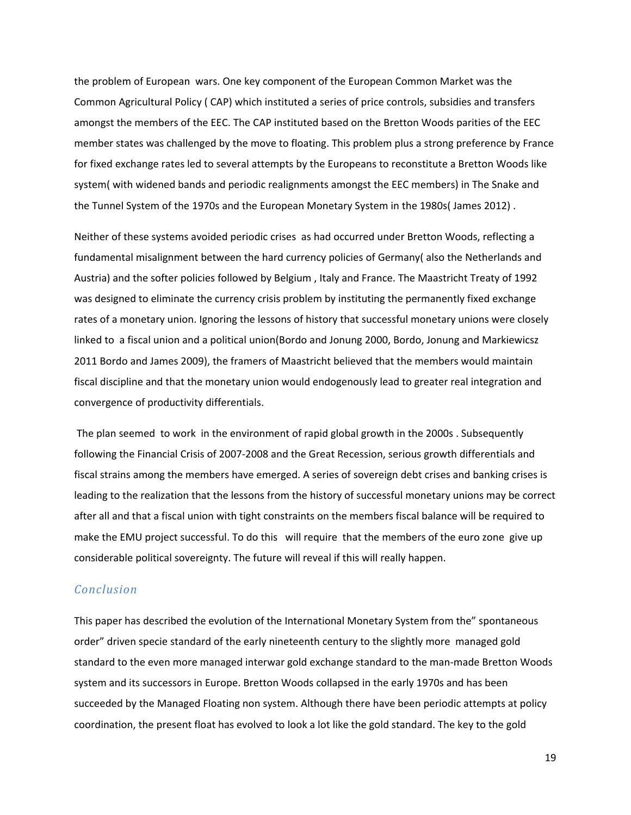the problem of European wars. One key component of the European Common Market was the Common Agricultural Policy ( CAP) which instituted a series of price controls, subsidies and transfers amongst the members of the EEC. The CAP instituted based on the Bretton Woods parities of the EEC member states was challenged by the move to floating. This problem plus a strong preference by France for fixed exchange rates led to several attempts by the Europeans to reconstitute a Bretton Woods like system( with widened bands and periodic realignments amongst the EEC members) in The Snake and the Tunnel System of the 1970s and the European Monetary System in the 1980s( James 2012) .

Neither of these systems avoided periodic crises as had occurred under Bretton Woods, reflecting a fundamental misalignment between the hard currency policies of Germany( also the Netherlands and Austria) and the softer policies followed by Belgium , Italy and France. The Maastricht Treaty of 1992 was designed to eliminate the currency crisis problem by instituting the permanently fixed exchange rates of a monetary union. Ignoring the lessons of history that successful monetary unions were closely linked to a fiscal union and a political union(Bordo and Jonung 2000, Bordo, Jonung and Markiewicsz 2011 Bordo and James 2009), the framers of Maastricht believed that the members would maintain fiscal discipline and that the monetary union would endogenously lead to greater real integration and convergence of productivity differentials.

The plan seemed to work in the environment of rapid global growth in the 2000s . Subsequently following the Financial Crisis of 2007‐2008 and the Great Recession, serious growth differentials and fiscal strains among the members have emerged. A series of sovereign debt crises and banking crises is leading to the realization that the lessons from the history of successful monetary unions may be correct after all and that a fiscal union with tight constraints on the members fiscal balance will be required to make the EMU project successful. To do this will require that the members of the euro zone give up considerable political sovereignty. The future will reveal if this will really happen.

# *Conclusion*

This paper has described the evolution of the International Monetary System from the" spontaneous order" driven specie standard of the early nineteenth century to the slightly more managed gold standard to the even more managed interwar gold exchange standard to the man‐made Bretton Woods system and its successors in Europe. Bretton Woods collapsed in the early 1970s and has been succeeded by the Managed Floating non system. Although there have been periodic attempts at policy coordination, the present float has evolved to look a lot like the gold standard. The key to the gold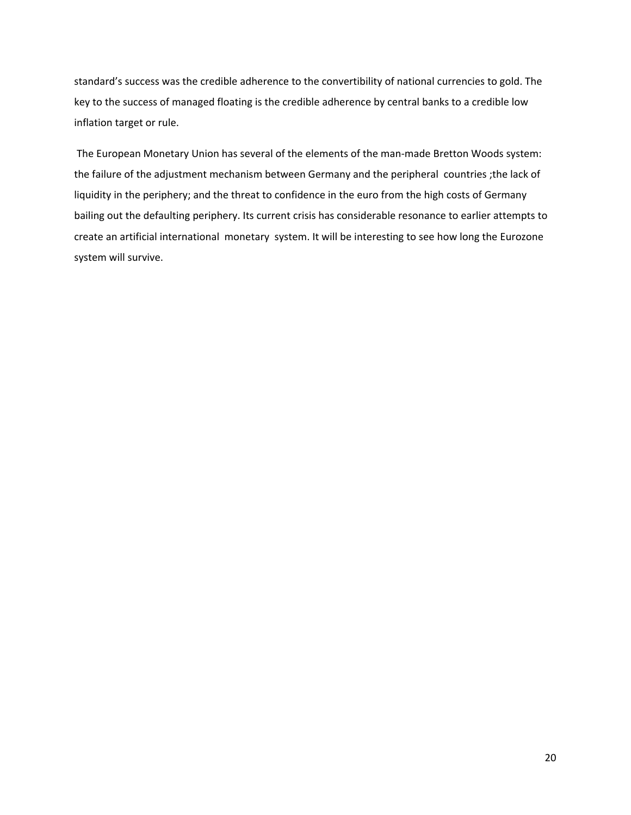standard's success was the credible adherence to the convertibility of national currencies to gold. The key to the success of managed floating is the credible adherence by central banks to a credible low inflation target or rule.

The European Monetary Union has several of the elements of the man-made Bretton Woods system: the failure of the adjustment mechanism between Germany and the peripheral countries ;the lack of liquidity in the periphery; and the threat to confidence in the euro from the high costs of Germany bailing out the defaulting periphery. Its current crisis has considerable resonance to earlier attempts to create an artificial international monetary system. It will be interesting to see how long the Eurozone system will survive.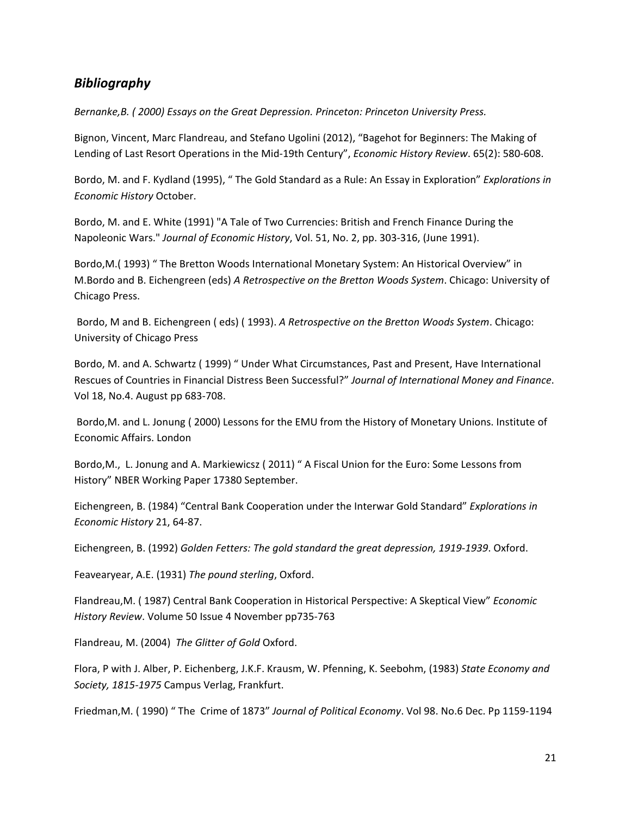# *Bibliography*

*Bernanke,B. ( 2000) Essays on the Great Depression. Princeton: Princeton University Press.*

Bignon, Vincent, Marc Flandreau, and Stefano Ugolini (2012), "Bagehot for Beginners: The Making of Lending of Last Resort Operations in the Mid‐19th Century", *Economic History Review*. 65(2): 580‐608.

Bordo, M. and F. Kydland (1995), " The Gold Standard as a Rule: An Essay in Exploration" *Explorations in Economic History* October.

Bordo, M. and E. White (1991) "A Tale of Two Currencies: British and French Finance During the Napoleonic Wars." *Journal of Economic History*, Vol. 51, No. 2, pp. 303‐316, (June 1991).

Bordo,M.( 1993) " The Bretton Woods International Monetary System: An Historical Overview" in M.Bordo and B. Eichengreen (eds) *A Retrospective on the Bretton Woods System*. Chicago: University of Chicago Press.

Bordo, M and B. Eichengreen ( eds) ( 1993). *A Retrospective on the Bretton Woods System*. Chicago: University of Chicago Press

Bordo, M. and A. Schwartz ( 1999) " Under What Circumstances, Past and Present, Have International Rescues of Countries in Financial Distress Been Successful?" *Journal of International Money and Finance*. Vol 18, No.4. August pp 683‐708.

Bordo,M. and L. Jonung ( 2000) Lessons for the EMU from the History of Monetary Unions. Institute of Economic Affairs. London

Bordo,M., L. Jonung and A. Markiewicsz ( 2011) " A Fiscal Union for the Euro: Some Lessons from History" NBER Working Paper 17380 September.

Eichengreen, B. (1984) "Central Bank Cooperation under the Interwar Gold Standard" *Explorations in Economic History* 21, 64‐87.

Eichengreen, B. (1992) *Golden Fetters: The gold standard the great depression, 1919‐1939*. Oxford.

Feavearyear, A.E. (1931) *The pound sterling*, Oxford.

Flandreau,M. ( 1987) Central Bank Cooperation in Historical Perspective: A Skeptical View" *Economic History Review*. Volume 50 Issue 4 November pp735‐763

Flandreau, M. (2004) *The Glitter of Gold* Oxford.

Flora, P with J. Alber, P. Eichenberg, J.K.F. Krausm, W. Pfenning, K. Seebohm, (1983) *State Economy and Society, 1815‐1975* Campus Verlag, Frankfurt.

Friedman,M. ( 1990) " The Crime of 1873" *Journal of Political Economy*. Vol 98. No.6 Dec. Pp 1159‐1194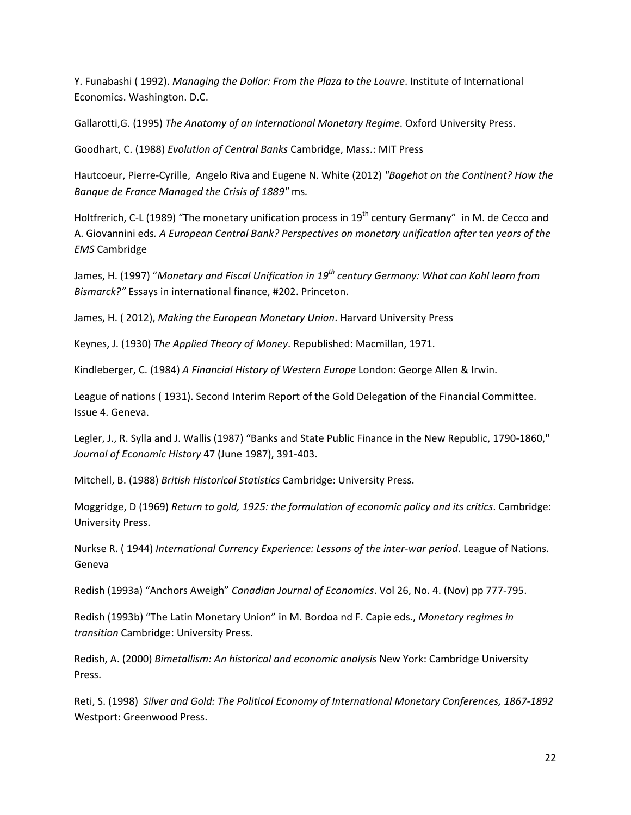Y. Funabashi ( 1992). *Managing the Dollar: From the Plaza to the Louvre*. Institute of International Economics. Washington. D.C.

Gallarotti,G. (1995) *The Anatomy of an International Monetary Regime*. Oxford University Press.

Goodhart, C. (1988) *Evolution of Central Banks* Cambridge, Mass.: MIT Press

Hautcoeur, Pierre‐Cyrille, Angelo Riva and Eugene N. White (2012) *"Bagehot on the Continent? How the Banque de France Managed the Crisis of 1889"* ms*.*

Holtfrerich, C-L (1989) "The monetary unification process in 19<sup>th</sup> century Germany" in M. de Cecco and A. Giovannini eds*. A European Central Bank? Perspectives on monetary unification after ten years of the EMS* Cambridge

James, H. (1997) "*Monetary and Fiscal Unification in 19th century Germany: What can Kohl learn from Bismarck?"* Essays in international finance, #202. Princeton.

James, H. ( 2012), *Making the European Monetary Union*. Harvard University Press

Keynes, J. (1930) *The Applied Theory of Money*. Republished: Macmillan, 1971.

Kindleberger, C. (1984) *A Financial History of Western Europe* London: George Allen & Irwin.

League of nations ( 1931). Second Interim Report of the Gold Delegation of the Financial Committee. Issue 4. Geneva.

Legler, J., R. Sylla and J. Wallis (1987) "Banks and State Public Finance in the New Republic, 1790‐1860," *Journal of Economic History* 47 (June 1987), 391‐403.

Mitchell, B. (1988) *British Historical Statistics* Cambridge: University Press.

Moggridge, D (1969) *Return to gold, 1925: the formulation of economic policy and its critics*. Cambridge: University Press.

Nurkse R. ( 1944) *International Currency Experience: Lessons of the inter‐war period*. League of Nations. Geneva

Redish (1993a) "Anchors Aweigh" *Canadian Journal of Economics*. Vol 26, No. 4. (Nov) pp 777‐795.

Redish (1993b) "The Latin Monetary Union" in M. Bordoa nd F. Capie eds., *Monetary regimes in transition* Cambridge: University Press.

Redish, A. (2000) *Bimetallism: An historical and economic analysis* New York: Cambridge University Press.

Reti, S. (1998) *Silver and Gold: The Political Economy of International Monetary Conferences, 1867‐1892* Westport: Greenwood Press.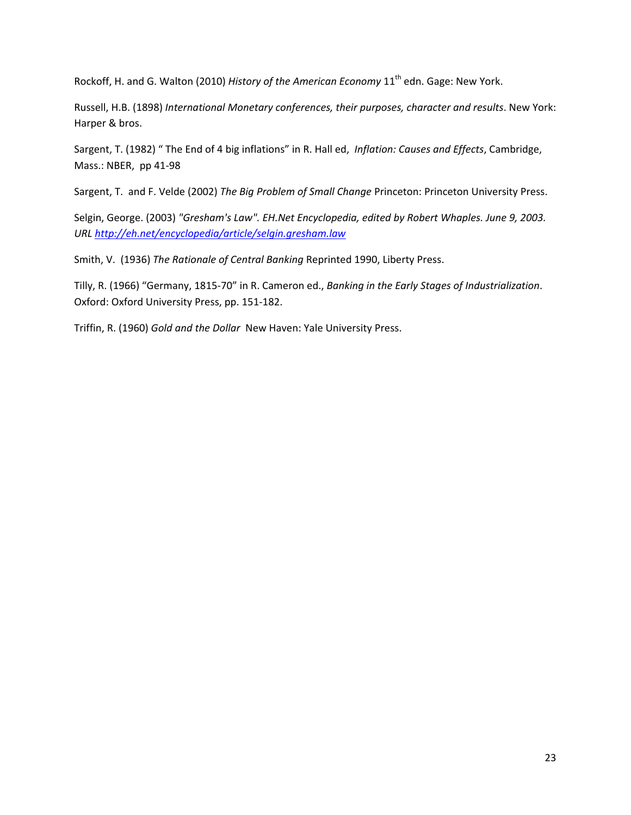Rockoff, H. and G. Walton (2010) *History of the American Economy* 11th edn. Gage: New York.

Russell, H.B. (1898) *International Monetary conferences, their purposes, character and results*. New York: Harper & bros.

Sargent, T. (1982) " The End of 4 big inflations" in R. Hall ed, *Inflation: Causes and Effects*, Cambridge, Mass.: NBER, pp 41‐98

Sargent, T. and F. Velde (2002) *The Big Problem of Small Change* Princeton: Princeton University Press.

Selgin, George. (2003) *"Gresham's Law". EH.Net Encyclopedia, edited by Robert Whaples. June 9, 2003. URL http://eh.net/encyclopedia/article/selgin.gresham.law*

Smith, V. (1936) *The Rationale of Central Banking* Reprinted 1990, Liberty Press.

Tilly, R. (1966) "Germany, 1815‐70" in R. Cameron ed., *Banking in the Early Stages of Industrialization*. Oxford: Oxford University Press, pp. 151‐182.

Triffin, R. (1960) *Gold and the Dollar* New Haven: Yale University Press.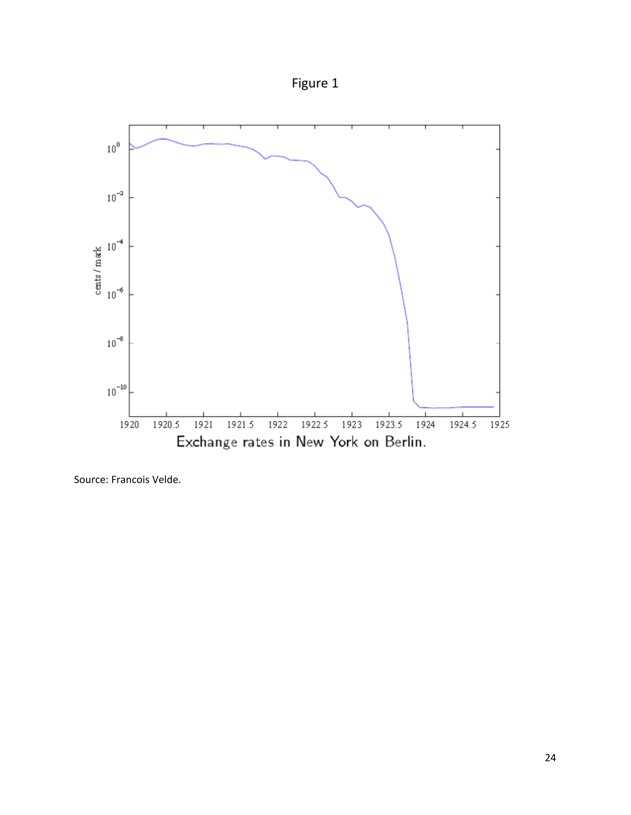



Source: Francois Velde.